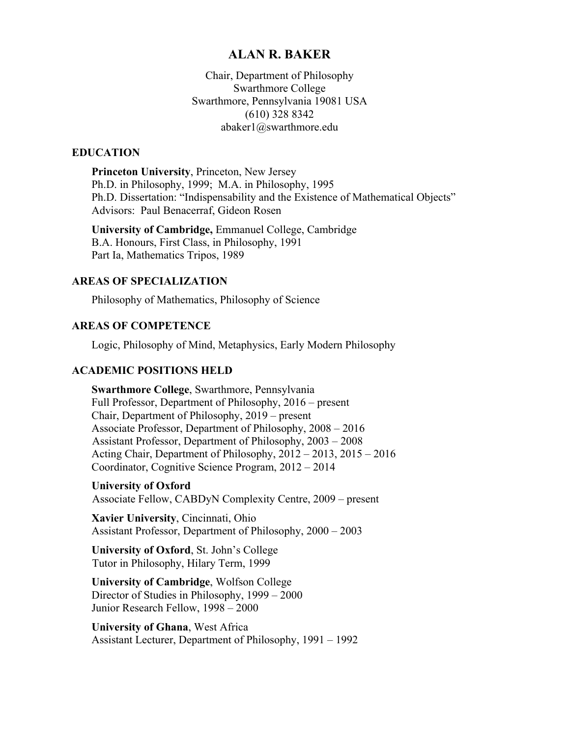## **ALAN R. BAKER**

Chair, Department of Philosophy Swarthmore College Swarthmore, Pennsylvania 19081 USA (610) 328 8342 abaker1@swarthmore.edu

#### **EDUCATION**

**Princeton University**, Princeton, New Jersey Ph.D. in Philosophy, 1999; M.A. in Philosophy, 1995 Ph.D. Dissertation: "Indispensability and the Existence of Mathematical Objects" Advisors: Paul Benacerraf, Gideon Rosen

**University of Cambridge,** Emmanuel College, Cambridge B.A. Honours, First Class, in Philosophy, 1991 Part Ia, Mathematics Tripos, 1989

#### **AREAS OF SPECIALIZATION**

Philosophy of Mathematics, Philosophy of Science

### **AREAS OF COMPETENCE**

Logic, Philosophy of Mind, Metaphysics, Early Modern Philosophy

### **ACADEMIC POSITIONS HELD**

**Swarthmore College**, Swarthmore, Pennsylvania Full Professor, Department of Philosophy, 2016 – present Chair, Department of Philosophy, 2019 – present Associate Professor, Department of Philosophy, 2008 – 2016 Assistant Professor, Department of Philosophy, 2003 – 2008 Acting Chair, Department of Philosophy, 2012 – 2013, 2015 – 2016 Coordinator, Cognitive Science Program, 2012 – 2014

**University of Oxford** Associate Fellow, CABDyN Complexity Centre, 2009 – present

**Xavier University**, Cincinnati, Ohio Assistant Professor, Department of Philosophy, 2000 – 2003

**University of Oxford**, St. John's College Tutor in Philosophy, Hilary Term, 1999

**University of Cambridge**, Wolfson College Director of Studies in Philosophy, 1999 – 2000 Junior Research Fellow, 1998 – 2000

**University of Ghana**, West Africa Assistant Lecturer, Department of Philosophy, 1991 – 1992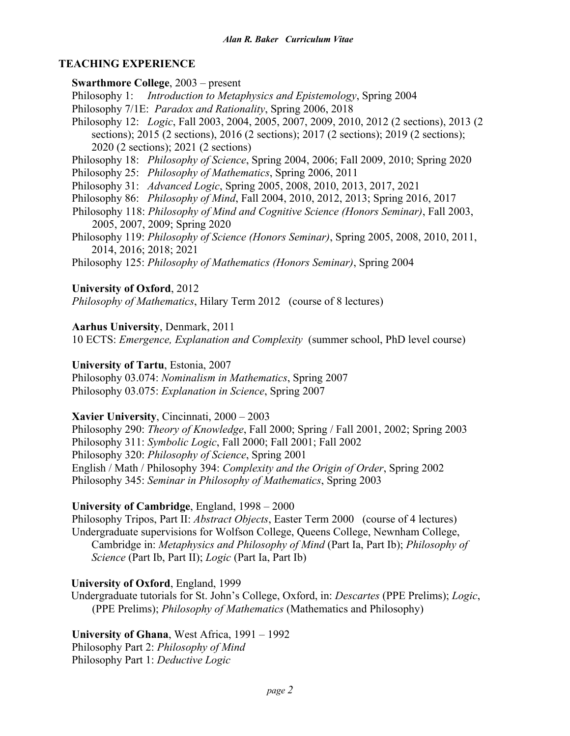## **TEACHING EXPERIENCE**

**Swarthmore College**, 2003 – present Philosophy 1: *Introduction to Metaphysics and Epistemology*, Spring 2004 Philosophy 7/1E: *Paradox and Rationality*, Spring 2006, 2018 Philosophy 12: *Logic*, Fall 2003, 2004, 2005, 2007, 2009, 2010, 2012 (2 sections), 2013 (2 sections); 2015 (2 sections), 2016 (2 sections); 2017 (2 sections); 2019 (2 sections); 2020 (2 sections); 2021 (2 sections) Philosophy 18: *Philosophy of Science*, Spring 2004, 2006; Fall 2009, 2010; Spring 2020

Philosophy 25: *Philosophy of Mathematics*, Spring 2006, 2011

Philosophy 31: *Advanced Logic*, Spring 2005, 2008, 2010, 2013, 2017, 2021

Philosophy 86: *Philosophy of Mind*, Fall 2004, 2010, 2012, 2013; Spring 2016, 2017

Philosophy 118: *Philosophy of Mind and Cognitive Science (Honors Seminar)*, Fall 2003, 2005, 2007, 2009; Spring 2020

Philosophy 119: *Philosophy of Science (Honors Seminar)*, Spring 2005, 2008, 2010, 2011, 2014, 2016; 2018; 2021

Philosophy 125: *Philosophy of Mathematics (Honors Seminar)*, Spring 2004

## **University of Oxford**, 2012

*Philosophy of Mathematics*, Hilary Term 2012 (course of 8 lectures)

## **Aarhus University**, Denmark, 2011

10 ECTS: *Emergence, Explanation and Complexity* (summer school, PhD level course)

### **University of Tartu**, Estonia, 2007

Philosophy 03.074: *Nominalism in Mathematics*, Spring 2007 Philosophy 03.075: *Explanation in Science*, Spring 2007

## **Xavier University**, Cincinnati, 2000 – 2003

Philosophy 290: *Theory of Knowledge*, Fall 2000; Spring / Fall 2001, 2002; Spring 2003 Philosophy 311: *Symbolic Logic*, Fall 2000; Fall 2001; Fall 2002 Philosophy 320: *Philosophy of Science*, Spring 2001 English / Math / Philosophy 394: *Complexity and the Origin of Order*, Spring 2002 Philosophy 345: *Seminar in Philosophy of Mathematics*, Spring 2003

## **University of Cambridge**, England, 1998 – 2000

Philosophy Tripos, Part II: *Abstract Objects*, Easter Term 2000 (course of 4 lectures) Undergraduate supervisions for Wolfson College, Queens College, Newnham College, Cambridge in: *Metaphysics and Philosophy of Mind* (Part Ia, Part Ib); *Philosophy of Science* (Part Ib, Part II); *Logic* (Part Ia, Part Ib)

# **University of Oxford**, England, 1999

Undergraduate tutorials for St. John's College, Oxford, in: *Descartes* (PPE Prelims); *Logic*, (PPE Prelims); *Philosophy of Mathematics* (Mathematics and Philosophy)

**University of Ghana**, West Africa, 1991 – 1992

Philosophy Part 2: *Philosophy of Mind* Philosophy Part 1: *Deductive Logic*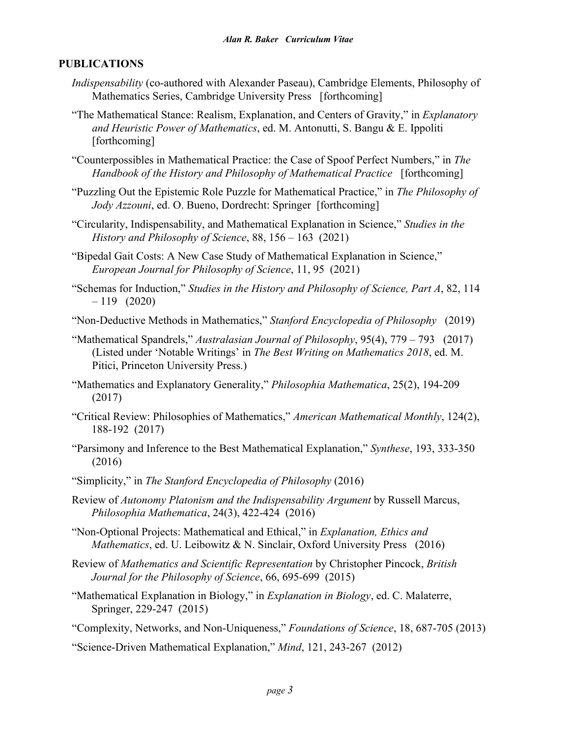# **PUBLICATIONS**

- *Indispensability* (co-authored with Alexander Paseau), Cambridge Elements, Philosophy of Mathematics Series, Cambridge University Press [forthcoming]
- "The Mathematical Stance: Realism, Explanation, and Centers of Gravity," in *Explanatory and Heuristic Power of Mathematics*, ed. M. Antonutti, S. Bangu & E. Ippoliti [forthcoming]
- "Counterpossibles in Mathematical Practice: the Case of Spoof Perfect Numbers," in *The Handbook of the History and Philosophy of Mathematical Practice* [forthcoming]
- "Puzzling Out the Epistemic Role Puzzle for Mathematical Practice," in *The Philosophy of Jody Azzouni*, ed. O. Bueno, Dordrecht: Springer [forthcoming]
- "Circularity, Indispensability, and Mathematical Explanation in Science," *Studies in the History and Philosophy of Science*, 88, 156 – 163 (2021)
- "Bipedal Gait Costs: A New Case Study of Mathematical Explanation in Science," *European Journal for Philosophy of Science*, 11, 95 (2021)
- "Schemas for Induction," *Studies in the History and Philosophy of Science, Part A*, 82, 114  $-119$  (2020)
- "Non-Deductive Methods in Mathematics," *Stanford Encyclopedia of Philosophy* (2019)
- "Mathematical Spandrels," *Australasian Journal of Philosophy*, 95(4), 779 793 (2017) (Listed under 'Notable Writings' in *The Best Writing on Mathematics 2018*, ed. M. Pitici, Princeton University Press.)
- "Mathematics and Explanatory Generality," *Philosophia Mathematica*, 25(2), 194-209 (2017)
- "Critical Review: Philosophies of Mathematics," *American Mathematical Monthly*, 124(2), 188-192 (2017)
- "Parsimony and Inference to the Best Mathematical Explanation," *Synthese*, 193, 333-350 (2016)
- "Simplicity," in *The Stanford Encyclopedia of Philosophy* (2016)
- Review of *Autonomy Platonism and the Indispensability Argument* by Russell Marcus, *Philosophia Mathematica*, 24(3), 422-424 (2016)
- "Non-Optional Projects: Mathematical and Ethical," in *Explanation, Ethics and Mathematics*, ed. U. Leibowitz & N. Sinclair, Oxford University Press (2016)
- Review of *Mathematics and Scientific Representation* by Christopher Pincock, *British Journal for the Philosophy of Science*, 66, 695-699 (2015)
- "Mathematical Explanation in Biology," in *Explanation in Biology*, ed. C. Malaterre, Springer, 229-247 (2015)
- "Complexity, Networks, and Non-Uniqueness," *Foundations of Science*, 18, 687-705 (2013)
- "Science-Driven Mathematical Explanation," *Mind*, 121, 243-267 (2012)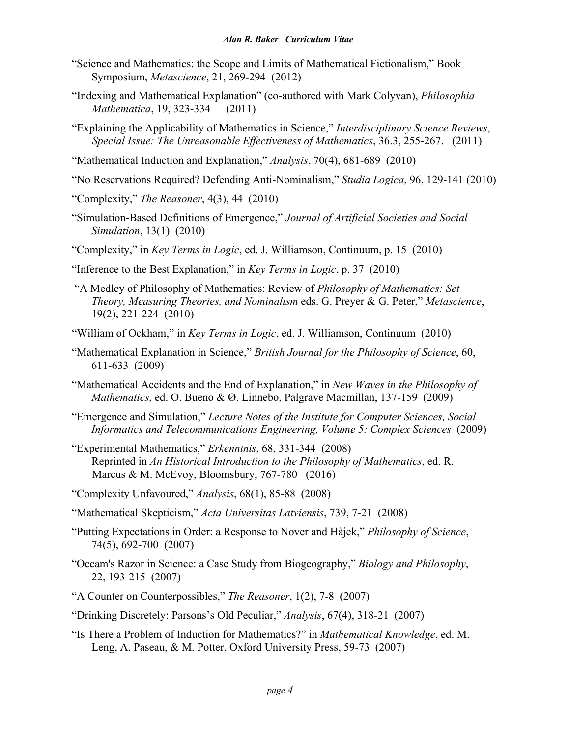- "Science and Mathematics: the Scope and Limits of Mathematical Fictionalism," Book Symposium, *Metascience*, 21, 269-294 (2012)
- "Indexing and Mathematical Explanation" (co-authored with Mark Colyvan), *Philosophia Mathematica*, 19, 323-334 (2011)
- "Explaining the Applicability of Mathematics in Science," *Interdisciplinary Science Reviews*, *Special Issue: The Unreasonable Effectiveness of Mathematics*, 36.3, 255-267. (2011)
- "Mathematical Induction and Explanation," *Analysis*, 70(4), 681-689 (2010)
- "No Reservations Required? Defending Anti-Nominalism," *Studia Logica*, 96, 129-141 (2010)
- "Complexity," *The Reasoner*, 4(3), 44 (2010)
- "Simulation-Based Definitions of Emergence," *Journal of Artificial Societies and Social Simulation*, 13(1) (2010)
- "Complexity," in *Key Terms in Logic*, ed. J. Williamson, Continuum, p. 15 (2010)
- "Inference to the Best Explanation," in *Key Terms in Logic*, p. 37 (2010)
- "A Medley of Philosophy of Mathematics: Review of *Philosophy of Mathematics: Set Theory, Measuring Theories, and Nominalism* eds. G. Preyer & G. Peter," *Metascience*, 19(2), 221-224 (2010)
- "William of Ockham," in *Key Terms in Logic*, ed. J. Williamson, Continuum (2010)
- "Mathematical Explanation in Science," *British Journal for the Philosophy of Science*, 60, 611-633 (2009)
- "Mathematical Accidents and the End of Explanation," in *New Waves in the Philosophy of Mathematics*, ed. O. Bueno & Ø. Linnebo, Palgrave Macmillan, 137-159 (2009)
- "Emergence and Simulation," *Lecture Notes of the Institute for Computer Sciences, Social Informatics and Telecommunications Engineering, Volume 5: Complex Sciences* (2009)
- "Experimental Mathematics," *Erkenntnis*, 68, 331-344 (2008) Reprinted in *An Historical Introduction to the Philosophy of Mathematics*, ed. R. Marcus & M. McEvoy, Bloomsbury, 767-780 (2016)
- "Complexity Unfavoured," *Analysis*, 68(1), 85-88 (2008)
- "Mathematical Skepticism," *Acta Universitas Latviensis*, 739, 7-21 (2008)
- "Putting Expectations in Order: a Response to Nover and Hàjek," *Philosophy of Science*, 74(5), 692-700 (2007)
- "Occam's Razor in Science: a Case Study from Biogeography," *Biology and Philosophy*, 22, 193-215 (2007)
- "A Counter on Counterpossibles," *The Reasoner*, 1(2), 7-8 (2007)
- "Drinking Discretely: Parsons's Old Peculiar," *Analysis*, 67(4), 318-21 (2007)
- "Is There a Problem of Induction for Mathematics?" in *Mathematical Knowledge*, ed. M. Leng, A. Paseau, & M. Potter, Oxford University Press, 59-73 (2007)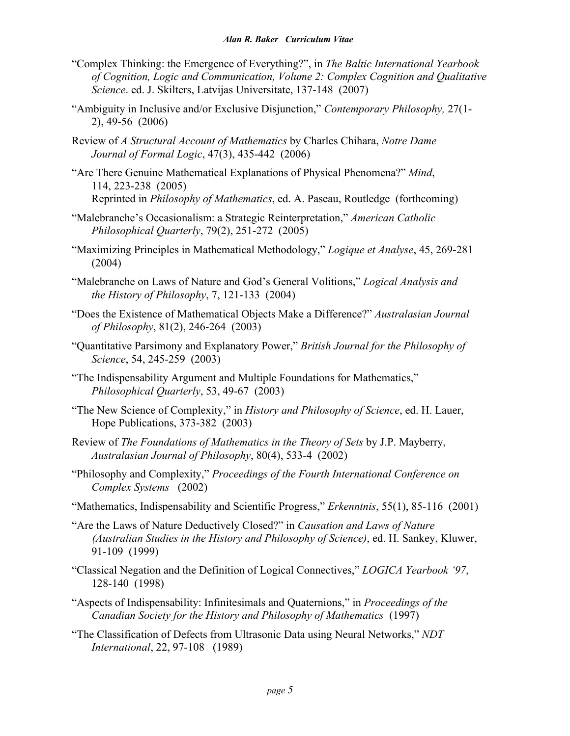- "Complex Thinking: the Emergence of Everything?", in *The Baltic International Yearbook of Cognition, Logic and Communication, Volume 2: Complex Cognition and Qualitative Science*. ed. J. Skilters, Latvijas Universitate, 137-148 (2007)
- "Ambiguity in Inclusive and/or Exclusive Disjunction," *Contemporary Philosophy,* 27(1- 2), 49-56 (2006)
- Review of *A Structural Account of Mathematics* by Charles Chihara, *Notre Dame Journal of Formal Logic*, 47(3), 435-442 (2006)
- "Are There Genuine Mathematical Explanations of Physical Phenomena?" *Mind*, 114, 223-238 (2005) Reprinted in *Philosophy of Mathematics*, ed. A. Paseau, Routledge (forthcoming)
- "Malebranche's Occasionalism: a Strategic Reinterpretation," *American Catholic Philosophical Quarterly*, 79(2), 251-272 (2005)
- "Maximizing Principles in Mathematical Methodology," *Logique et Analyse*, 45, 269-281 (2004)
- "Malebranche on Laws of Nature and God's General Volitions," *Logical Analysis and the History of Philosophy*, 7, 121-133 (2004)
- "Does the Existence of Mathematical Objects Make a Difference?" *Australasian Journal of Philosophy*, 81(2), 246-264 (2003)
- "Quantitative Parsimony and Explanatory Power," *British Journal for the Philosophy of Science*, 54, 245-259 (2003)
- "The Indispensability Argument and Multiple Foundations for Mathematics," *Philosophical Quarterly*, 53, 49-67 (2003)
- "The New Science of Complexity," in *History and Philosophy of Science*, ed. H. Lauer, Hope Publications, 373-382 (2003)
- Review of *The Foundations of Mathematics in the Theory of Sets* by J.P. Mayberry, *Australasian Journal of Philosophy*, 80(4), 533-4 (2002)
- "Philosophy and Complexity," *Proceedings of the Fourth International Conference on Complex Systems* (2002)
- "Mathematics, Indispensability and Scientific Progress," *Erkenntnis*, 55(1), 85-116 (2001)
- "Are the Laws of Nature Deductively Closed?" in *Causation and Laws of Nature (Australian Studies in the History and Philosophy of Science)*, ed. H. Sankey, Kluwer, 91-109 (1999)
- "Classical Negation and the Definition of Logical Connectives," *LOGICA Yearbook '97*, 128-140 (1998)
- "Aspects of Indispensability: Infinitesimals and Quaternions," in *Proceedings of the Canadian Society for the History and Philosophy of Mathematics* (1997)
- "The Classification of Defects from Ultrasonic Data using Neural Networks," *NDT International*, 22, 97-108 (1989)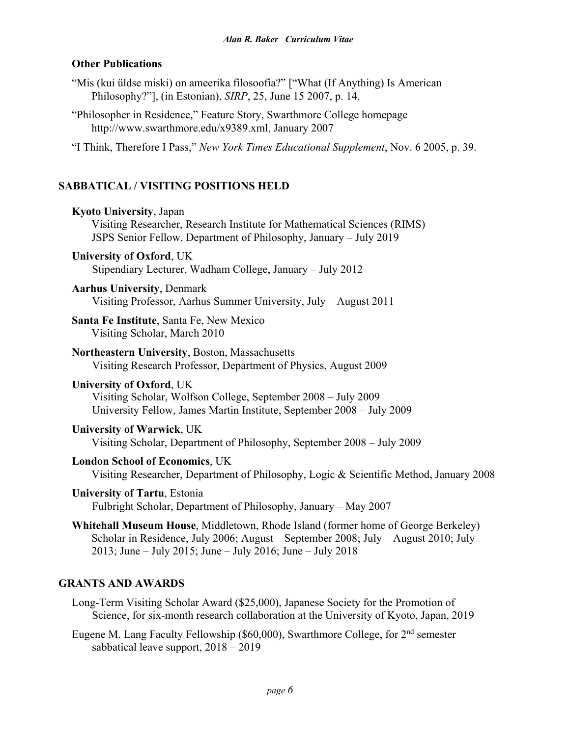## **Other Publications**

- "Mis (kui üldse miski) on ameerika filosoofia?" ["What (If Anything) Is American Philosophy?"], (in Estonian), *SIRP*, 25, June 15 2007, p. 14.
- "Philosopher in Residence," Feature Story, Swarthmore College homepage http://www.swarthmore.edu/x9389.xml, January 2007

"I Think, Therefore I Pass," *New York Times Educational Supplement*, Nov. 6 2005, p. 39.

# **SABBATICAL / VISITING POSITIONS HELD**

| <b>Kyoto University</b> , Japan<br>Visiting Researcher, Research Institute for Mathematical Sciences (RIMS)<br>JSPS Senior Fellow, Department of Philosophy, January - July 2019                                                      |
|---------------------------------------------------------------------------------------------------------------------------------------------------------------------------------------------------------------------------------------|
| <b>University of Oxford, UK</b><br>Stipendiary Lecturer, Wadham College, January - July 2012                                                                                                                                          |
| <b>Aarhus University, Denmark</b><br>Visiting Professor, Aarhus Summer University, July - August 2011                                                                                                                                 |
| Santa Fe Institute, Santa Fe, New Mexico<br>Visiting Scholar, March 2010                                                                                                                                                              |
| Northeastern University, Boston, Massachusetts<br>Visiting Research Professor, Department of Physics, August 2009                                                                                                                     |
| <b>University of Oxford, UK</b><br>Visiting Scholar, Wolfson College, September 2008 – July 2009<br>University Fellow, James Martin Institute, September 2008 - July 2009                                                             |
| <b>University of Warwick, UK</b><br>Visiting Scholar, Department of Philosophy, September 2008 – July 2009                                                                                                                            |
| <b>London School of Economics, UK</b><br>Visiting Researcher, Department of Philosophy, Logic & Scientific Method, January 2008                                                                                                       |
| <b>University of Tartu, Estonia</b><br>Fulbright Scholar, Department of Philosophy, January – May 2007                                                                                                                                |
| Whitehall Museum House, Middletown, Rhode Island (former home of George Berkeley)<br>Scholar in Residence, July 2006; August - September 2008; July - August 2010; July<br>2013; June – July 2015; June – July 2016; June – July 2018 |
| <b>GRANTS AND AWARDS</b>                                                                                                                                                                                                              |

- Long-Term Visiting Scholar Award (\$25,000), Japanese Society for the Promotion of Science, for six-month research collaboration at the University of Kyoto, Japan, 2019
- Eugene M. Lang Faculty Fellowship (\$60,000), Swarthmore College, for 2nd semester sabbatical leave support, 2018 – 2019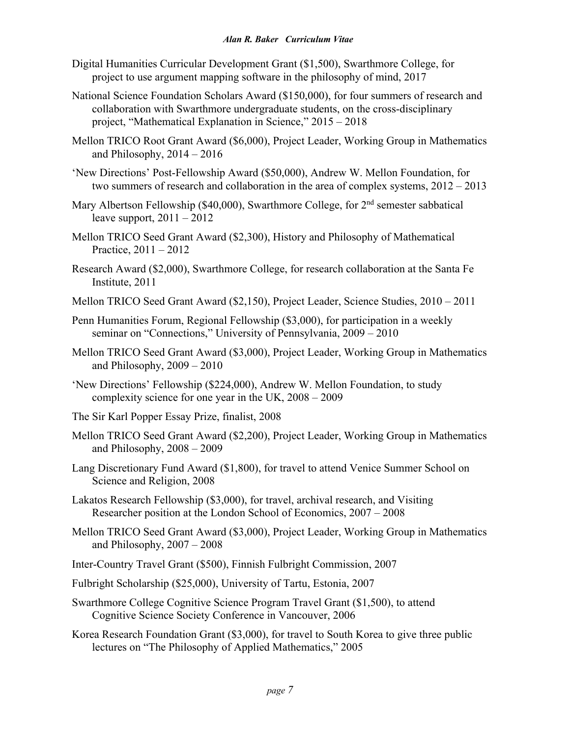- Digital Humanities Curricular Development Grant (\$1,500), Swarthmore College, for project to use argument mapping software in the philosophy of mind, 2017
- National Science Foundation Scholars Award (\$150,000), for four summers of research and collaboration with Swarthmore undergraduate students, on the cross-disciplinary project, "Mathematical Explanation in Science," 2015 – 2018
- Mellon TRICO Root Grant Award (\$6,000), Project Leader, Working Group in Mathematics and Philosophy, 2014 – 2016
- 'New Directions' Post-Fellowship Award (\$50,000), Andrew W. Mellon Foundation, for two summers of research and collaboration in the area of complex systems, 2012 – 2013
- Mary Albertson Fellowship (\$40,000), Swarthmore College, for  $2<sup>nd</sup>$  semester sabbatical leave support,  $2011 - 2012$
- Mellon TRICO Seed Grant Award (\$2,300), History and Philosophy of Mathematical Practice, 2011 – 2012
- Research Award (\$2,000), Swarthmore College, for research collaboration at the Santa Fe Institute, 2011
- Mellon TRICO Seed Grant Award (\$2,150), Project Leader, Science Studies, 2010 2011
- Penn Humanities Forum, Regional Fellowship (\$3,000), for participation in a weekly seminar on "Connections," University of Pennsylvania, 2009 – 2010
- Mellon TRICO Seed Grant Award (\$3,000), Project Leader, Working Group in Mathematics and Philosophy, 2009 – 2010
- 'New Directions' Fellowship (\$224,000), Andrew W. Mellon Foundation, to study complexity science for one year in the UK, 2008 – 2009
- The Sir Karl Popper Essay Prize, finalist, 2008
- Mellon TRICO Seed Grant Award (\$2,200), Project Leader, Working Group in Mathematics and Philosophy, 2008 – 2009
- Lang Discretionary Fund Award (\$1,800), for travel to attend Venice Summer School on Science and Religion, 2008
- Lakatos Research Fellowship (\$3,000), for travel, archival research, and Visiting Researcher position at the London School of Economics, 2007 – 2008
- Mellon TRICO Seed Grant Award (\$3,000), Project Leader, Working Group in Mathematics and Philosophy, 2007 – 2008
- Inter-Country Travel Grant (\$500), Finnish Fulbright Commission, 2007
- Fulbright Scholarship (\$25,000), University of Tartu, Estonia, 2007
- Swarthmore College Cognitive Science Program Travel Grant (\$1,500), to attend Cognitive Science Society Conference in Vancouver, 2006
- Korea Research Foundation Grant (\$3,000), for travel to South Korea to give three public lectures on "The Philosophy of Applied Mathematics," 2005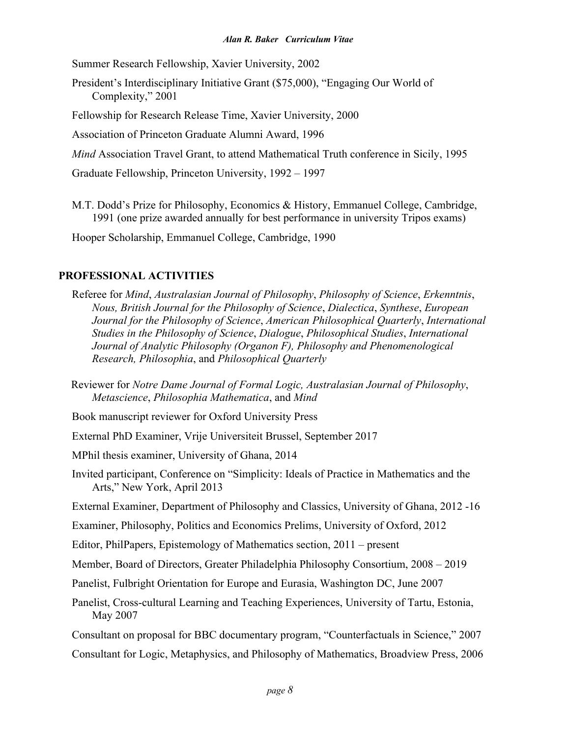Summer Research Fellowship, Xavier University, 2002

President's Interdisciplinary Initiative Grant (\$75,000), "Engaging Our World of Complexity," 2001

Fellowship for Research Release Time, Xavier University, 2000

Association of Princeton Graduate Alumni Award, 1996

*Mind* Association Travel Grant, to attend Mathematical Truth conference in Sicily, 1995

Graduate Fellowship, Princeton University, 1992 – 1997

M.T. Dodd's Prize for Philosophy, Economics & History, Emmanuel College, Cambridge, 1991 (one prize awarded annually for best performance in university Tripos exams)

Hooper Scholarship, Emmanuel College, Cambridge, 1990

# **PROFESSIONAL ACTIVITIES**

Referee for *Mind*, *Australasian Journal of Philosophy*, *Philosophy of Science*, *Erkenntnis*, *Nous, British Journal for the Philosophy of Science*, *Dialectica*, *Synthese*, *European Journal for the Philosophy of Science*, *American Philosophical Quarterly*, *International Studies in the Philosophy of Science*, *Dialogue*, *Philosophical Studies*, *International Journal of Analytic Philosophy (Organon F), Philosophy and Phenomenological Research, Philosophia*, and *Philosophical Quarterly*

Reviewer for *Notre Dame Journal of Formal Logic, Australasian Journal of Philosophy*, *Metascience*, *Philosophia Mathematica*, and *Mind*

- Book manuscript reviewer for Oxford University Press
- External PhD Examiner, Vrije Universiteit Brussel, September 2017

MPhil thesis examiner, University of Ghana, 2014

Invited participant, Conference on "Simplicity: Ideals of Practice in Mathematics and the Arts," New York, April 2013

External Examiner, Department of Philosophy and Classics, University of Ghana, 2012 -16

Examiner, Philosophy, Politics and Economics Prelims, University of Oxford, 2012

Editor, PhilPapers, Epistemology of Mathematics section, 2011 – present

Member, Board of Directors, Greater Philadelphia Philosophy Consortium, 2008 – 2019

Panelist, Fulbright Orientation for Europe and Eurasia, Washington DC, June 2007

Panelist, Cross-cultural Learning and Teaching Experiences, University of Tartu, Estonia, May 2007

Consultant on proposal for BBC documentary program, "Counterfactuals in Science," 2007

Consultant for Logic, Metaphysics, and Philosophy of Mathematics, Broadview Press, 2006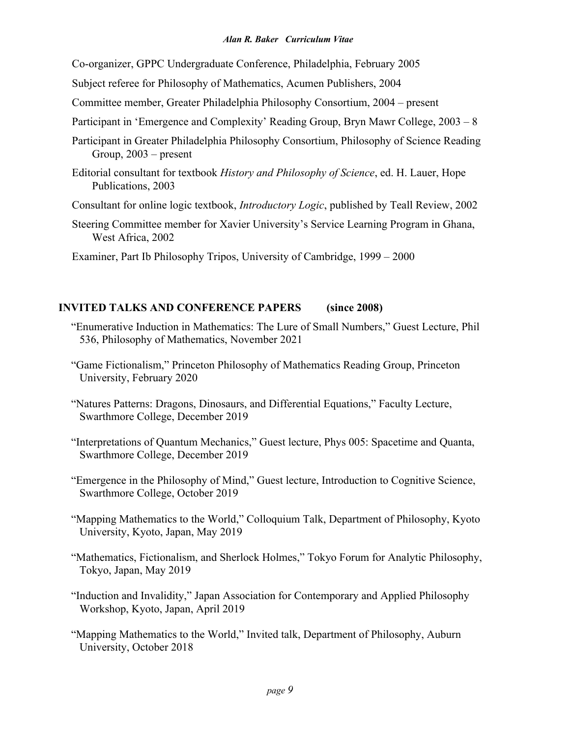Co-organizer, GPPC Undergraduate Conference, Philadelphia, February 2005

- Subject referee for Philosophy of Mathematics, Acumen Publishers, 2004
- Committee member, Greater Philadelphia Philosophy Consortium, 2004 present
- Participant in 'Emergence and Complexity' Reading Group, Bryn Mawr College, 2003 8
- Participant in Greater Philadelphia Philosophy Consortium, Philosophy of Science Reading Group, 2003 – present
- Editorial consultant for textbook *History and Philosophy of Science*, ed. H. Lauer, Hope Publications, 2003
- Consultant for online logic textbook, *Introductory Logic*, published by Teall Review, 2002
- Steering Committee member for Xavier University's Service Learning Program in Ghana, West Africa, 2002
- Examiner, Part Ib Philosophy Tripos, University of Cambridge, 1999 2000

# **INVITED TALKS AND CONFERENCE PAPERS (since 2008)**

- "Enumerative Induction in Mathematics: The Lure of Small Numbers," Guest Lecture, Phil 536, Philosophy of Mathematics, November 2021
- "Game Fictionalism," Princeton Philosophy of Mathematics Reading Group, Princeton University, February 2020
- "Natures Patterns: Dragons, Dinosaurs, and Differential Equations," Faculty Lecture, Swarthmore College, December 2019
- "Interpretations of Quantum Mechanics," Guest lecture, Phys 005: Spacetime and Quanta, Swarthmore College, December 2019
- "Emergence in the Philosophy of Mind," Guest lecture, Introduction to Cognitive Science, Swarthmore College, October 2019
- "Mapping Mathematics to the World," Colloquium Talk, Department of Philosophy, Kyoto University, Kyoto, Japan, May 2019
- "Mathematics, Fictionalism, and Sherlock Holmes," Tokyo Forum for Analytic Philosophy, Tokyo, Japan, May 2019
- "Induction and Invalidity," Japan Association for Contemporary and Applied Philosophy Workshop, Kyoto, Japan, April 2019
- "Mapping Mathematics to the World," Invited talk, Department of Philosophy, Auburn University, October 2018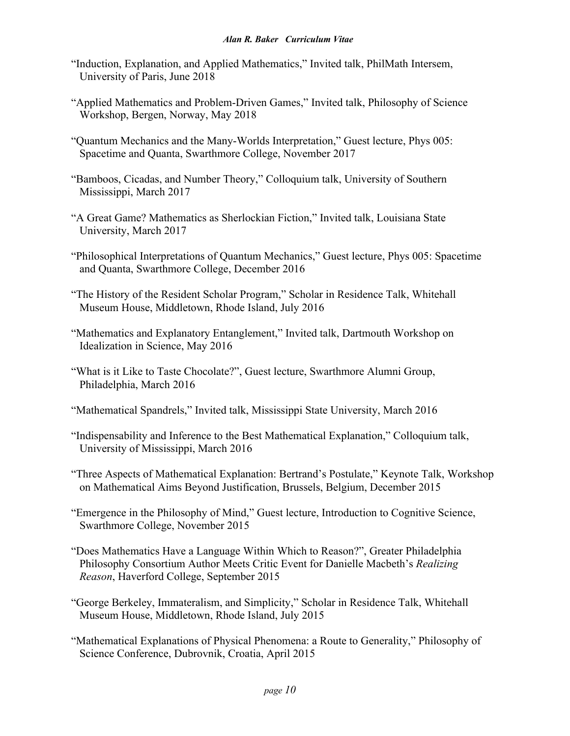- "Induction, Explanation, and Applied Mathematics," Invited talk, PhilMath Intersem, University of Paris, June 2018
- "Applied Mathematics and Problem-Driven Games," Invited talk, Philosophy of Science Workshop, Bergen, Norway, May 2018
- "Quantum Mechanics and the Many-Worlds Interpretation," Guest lecture, Phys 005: Spacetime and Quanta, Swarthmore College, November 2017
- "Bamboos, Cicadas, and Number Theory," Colloquium talk, University of Southern Mississippi, March 2017
- "A Great Game? Mathematics as Sherlockian Fiction," Invited talk, Louisiana State University, March 2017
- "Philosophical Interpretations of Quantum Mechanics," Guest lecture, Phys 005: Spacetime and Quanta, Swarthmore College, December 2016
- "The History of the Resident Scholar Program," Scholar in Residence Talk, Whitehall Museum House, Middletown, Rhode Island, July 2016
- "Mathematics and Explanatory Entanglement," Invited talk, Dartmouth Workshop on Idealization in Science, May 2016
- "What is it Like to Taste Chocolate?", Guest lecture, Swarthmore Alumni Group, Philadelphia, March 2016
- "Mathematical Spandrels," Invited talk, Mississippi State University, March 2016
- "Indispensability and Inference to the Best Mathematical Explanation," Colloquium talk, University of Mississippi, March 2016
- "Three Aspects of Mathematical Explanation: Bertrand's Postulate," Keynote Talk, Workshop on Mathematical Aims Beyond Justification, Brussels, Belgium, December 2015
- "Emergence in the Philosophy of Mind," Guest lecture, Introduction to Cognitive Science, Swarthmore College, November 2015
- "Does Mathematics Have a Language Within Which to Reason?", Greater Philadelphia Philosophy Consortium Author Meets Critic Event for Danielle Macbeth's *Realizing Reason*, Haverford College, September 2015
- "George Berkeley, Immateralism, and Simplicity," Scholar in Residence Talk, Whitehall Museum House, Middletown, Rhode Island, July 2015
- "Mathematical Explanations of Physical Phenomena: a Route to Generality," Philosophy of Science Conference, Dubrovnik, Croatia, April 2015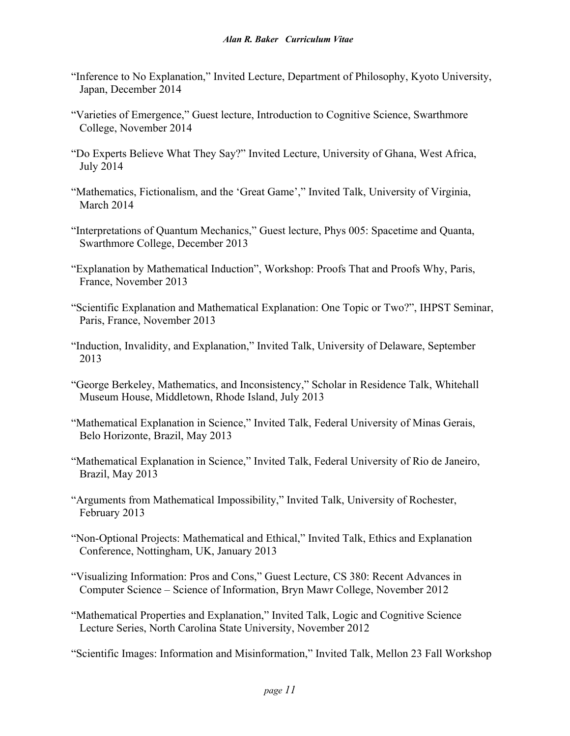- "Inference to No Explanation," Invited Lecture, Department of Philosophy, Kyoto University, Japan, December 2014
- "Varieties of Emergence," Guest lecture, Introduction to Cognitive Science, Swarthmore College, November 2014
- "Do Experts Believe What They Say?" Invited Lecture, University of Ghana, West Africa, July 2014
- "Mathematics, Fictionalism, and the 'Great Game'," Invited Talk, University of Virginia, March 2014
- "Interpretations of Quantum Mechanics," Guest lecture, Phys 005: Spacetime and Quanta, Swarthmore College, December 2013
- "Explanation by Mathematical Induction", Workshop: Proofs That and Proofs Why, Paris, France, November 2013
- "Scientific Explanation and Mathematical Explanation: One Topic or Two?", IHPST Seminar, Paris, France, November 2013
- "Induction, Invalidity, and Explanation," Invited Talk, University of Delaware, September 2013
- "George Berkeley, Mathematics, and Inconsistency," Scholar in Residence Talk, Whitehall Museum House, Middletown, Rhode Island, July 2013
- "Mathematical Explanation in Science," Invited Talk, Federal University of Minas Gerais, Belo Horizonte, Brazil, May 2013
- "Mathematical Explanation in Science," Invited Talk, Federal University of Rio de Janeiro, Brazil, May 2013
- "Arguments from Mathematical Impossibility," Invited Talk, University of Rochester, February 2013
- "Non-Optional Projects: Mathematical and Ethical," Invited Talk, Ethics and Explanation Conference, Nottingham, UK, January 2013

"Visualizing Information: Pros and Cons," Guest Lecture, CS 380: Recent Advances in Computer Science – Science of Information, Bryn Mawr College, November 2012

"Mathematical Properties and Explanation," Invited Talk, Logic and Cognitive Science Lecture Series, North Carolina State University, November 2012

"Scientific Images: Information and Misinformation," Invited Talk, Mellon 23 Fall Workshop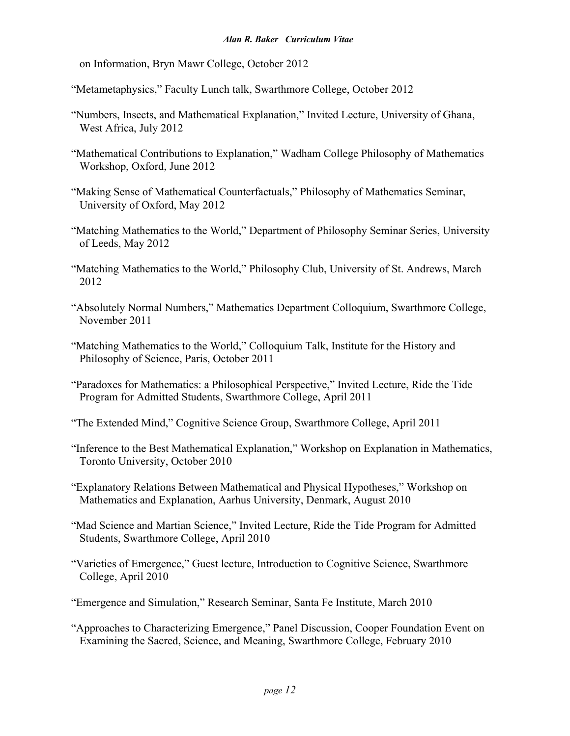on Information, Bryn Mawr College, October 2012

"Metametaphysics," Faculty Lunch talk, Swarthmore College, October 2012

- "Numbers, Insects, and Mathematical Explanation," Invited Lecture, University of Ghana, West Africa, July 2012
- "Mathematical Contributions to Explanation," Wadham College Philosophy of Mathematics Workshop, Oxford, June 2012
- "Making Sense of Mathematical Counterfactuals," Philosophy of Mathematics Seminar, University of Oxford, May 2012
- "Matching Mathematics to the World," Department of Philosophy Seminar Series, University of Leeds, May 2012
- "Matching Mathematics to the World," Philosophy Club, University of St. Andrews, March 2012
- "Absolutely Normal Numbers," Mathematics Department Colloquium, Swarthmore College, November 2011
- "Matching Mathematics to the World," Colloquium Talk, Institute for the History and Philosophy of Science, Paris, October 2011
- "Paradoxes for Mathematics: a Philosophical Perspective," Invited Lecture, Ride the Tide Program for Admitted Students, Swarthmore College, April 2011
- "The Extended Mind," Cognitive Science Group, Swarthmore College, April 2011
- "Inference to the Best Mathematical Explanation," Workshop on Explanation in Mathematics, Toronto University, October 2010
- "Explanatory Relations Between Mathematical and Physical Hypotheses," Workshop on Mathematics and Explanation, Aarhus University, Denmark, August 2010
- "Mad Science and Martian Science," Invited Lecture, Ride the Tide Program for Admitted Students, Swarthmore College, April 2010
- "Varieties of Emergence," Guest lecture, Introduction to Cognitive Science, Swarthmore College, April 2010
- "Emergence and Simulation," Research Seminar, Santa Fe Institute, March 2010
- "Approaches to Characterizing Emergence," Panel Discussion, Cooper Foundation Event on Examining the Sacred, Science, and Meaning, Swarthmore College, February 2010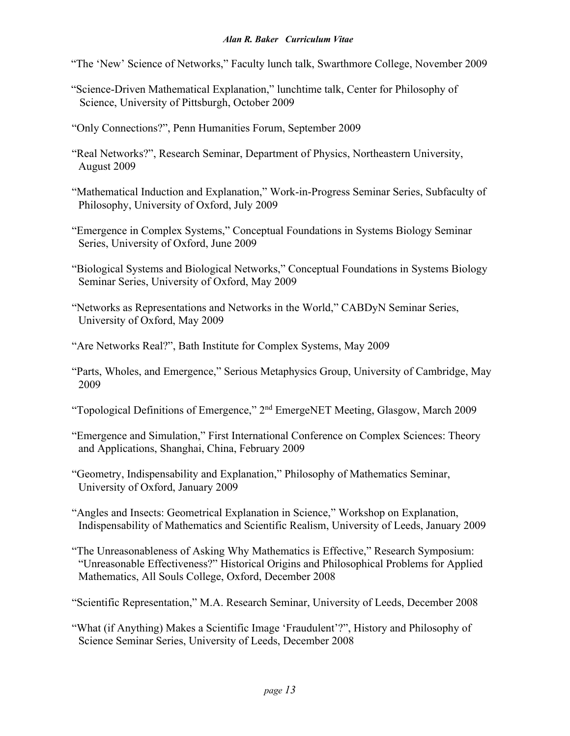"The 'New' Science of Networks," Faculty lunch talk, Swarthmore College, November 2009

- "Science-Driven Mathematical Explanation," lunchtime talk, Center for Philosophy of Science, University of Pittsburgh, October 2009
- "Only Connections?", Penn Humanities Forum, September 2009
- "Real Networks?", Research Seminar, Department of Physics, Northeastern University, August 2009
- "Mathematical Induction and Explanation," Work-in-Progress Seminar Series, Subfaculty of Philosophy, University of Oxford, July 2009
- "Emergence in Complex Systems," Conceptual Foundations in Systems Biology Seminar Series, University of Oxford, June 2009
- "Biological Systems and Biological Networks," Conceptual Foundations in Systems Biology Seminar Series, University of Oxford, May 2009
- "Networks as Representations and Networks in the World," CABDyN Seminar Series, University of Oxford, May 2009
- "Are Networks Real?", Bath Institute for Complex Systems, May 2009
- "Parts, Wholes, and Emergence," Serious Metaphysics Group, University of Cambridge, May 2009
- "Topological Definitions of Emergence," 2nd EmergeNET Meeting, Glasgow, March 2009
- "Emergence and Simulation," First International Conference on Complex Sciences: Theory and Applications, Shanghai, China, February 2009
- "Geometry, Indispensability and Explanation," Philosophy of Mathematics Seminar, University of Oxford, January 2009
- "Angles and Insects: Geometrical Explanation in Science," Workshop on Explanation, Indispensability of Mathematics and Scientific Realism, University of Leeds, January 2009
- "The Unreasonableness of Asking Why Mathematics is Effective," Research Symposium: "Unreasonable Effectiveness?" Historical Origins and Philosophical Problems for Applied Mathematics, All Souls College, Oxford, December 2008

"Scientific Representation," M.A. Research Seminar, University of Leeds, December 2008

"What (if Anything) Makes a Scientific Image 'Fraudulent'?", History and Philosophy of Science Seminar Series, University of Leeds, December 2008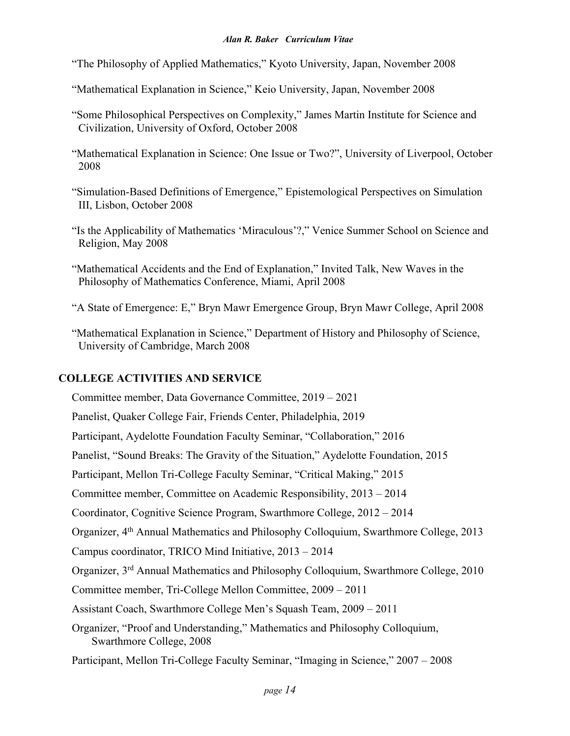- "The Philosophy of Applied Mathematics," Kyoto University, Japan, November 2008
- "Mathematical Explanation in Science," Keio University, Japan, November 2008
- "Some Philosophical Perspectives on Complexity," James Martin Institute for Science and Civilization, University of Oxford, October 2008
- "Mathematical Explanation in Science: One Issue or Two?", University of Liverpool, October 2008
- "Simulation-Based Definitions of Emergence," Epistemological Perspectives on Simulation III, Lisbon, October 2008
- "Is the Applicability of Mathematics 'Miraculous'?," Venice Summer School on Science and Religion, May 2008
- "Mathematical Accidents and the End of Explanation," Invited Talk, New Waves in the Philosophy of Mathematics Conference, Miami, April 2008
- "A State of Emergence: E," Bryn Mawr Emergence Group, Bryn Mawr College, April 2008
- "Mathematical Explanation in Science," Department of History and Philosophy of Science, University of Cambridge, March 2008

## **COLLEGE ACTIVITIES AND SERVICE**

Committee member, Data Governance Committee, 2019 – 2021

Panelist, Quaker College Fair, Friends Center, Philadelphia, 2019

Participant, Aydelotte Foundation Faculty Seminar, "Collaboration," 2016

Panelist, "Sound Breaks: The Gravity of the Situation," Aydelotte Foundation, 2015

Participant, Mellon Tri-College Faculty Seminar, "Critical Making," 2015

Committee member, Committee on Academic Responsibility, 2013 – 2014

Coordinator, Cognitive Science Program, Swarthmore College, 2012 – 2014

Organizer, 4th Annual Mathematics and Philosophy Colloquium, Swarthmore College, 2013

Campus coordinator, TRICO Mind Initiative, 2013 – 2014

Organizer, 3rd Annual Mathematics and Philosophy Colloquium, Swarthmore College, 2010

Committee member, Tri-College Mellon Committee, 2009 – 2011

Assistant Coach, Swarthmore College Men's Squash Team, 2009 – 2011

Organizer, "Proof and Understanding," Mathematics and Philosophy Colloquium, Swarthmore College, 2008

Participant, Mellon Tri-College Faculty Seminar, "Imaging in Science," 2007 – 2008